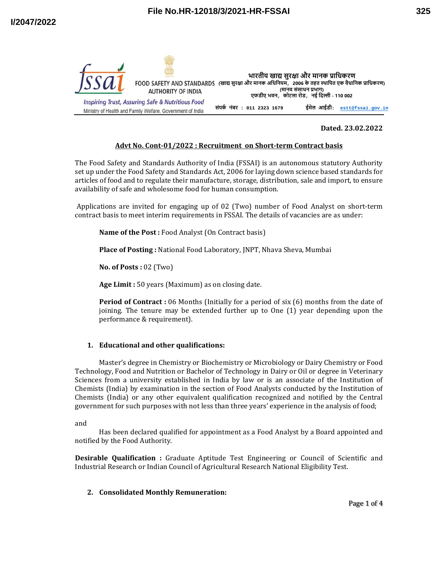



### **Dated. 23.02.2022**

# **Advt No. Cont‐01/2022 : Recruitment on Short‐term Contract basis**

The Food Safety and Standards Authority of India (FSSAI) is an autonomous statutory Authority set up under the Food Safety and Standards Act, 2006 for laying down science based standards for articles of food and to regulate their manufacture, storage, distribution, sale and import, to ensure availability of safe and wholesome food for human consumption.

 Applications are invited for engaging up of 02 (Two) number of Food Analyst on short-term contract basis to meet interim requirements in FSSAI. The details of vacancies are as under:

**Name of the Post :** Food Analyst (On Contract basis)

**Place of Posting :** National Food Laboratory, JNPT, Nhava Sheva, Mumbai

**No. of Posts :** 02 (Two)

**Age Limit :** 50 years (Maximum) as on closing date.

**Period of Contract :** 06 Months (Initially for a period of six (6) months from the date of joining. The tenure may be extended further up to One (1) year depending upon the performance & requirement).

### **1. Educational and other qualifications:**

Master's degree in Chemistry or Biochemistry or Microbiology or Dairy Chemistry or Food Technology, Food and Nutrition or Bachelor of Technology in Dairy or Oil or degree in Veterinary Sciences from a university established in India by law or is an associate of the Institution of Chemists (India) by examination in the section of Food Analysts conducted by the Institution of Chemists (India) or any other equivalent qualification recognized and notified by the Central government for such purposes with not less than three years' experience in the analysis of food;

and

Has been declared qualified for appointment as a Food Analyst by a Board appointed and notified by the Food Authority.

**Desirable Qualification :** Graduate Aptitude Test Engineering or Council of Scientific and Industrial Research or Indian Council of Agricultural Research National Eligibility Test.

### **2. Consolidated Monthly Remuneration:**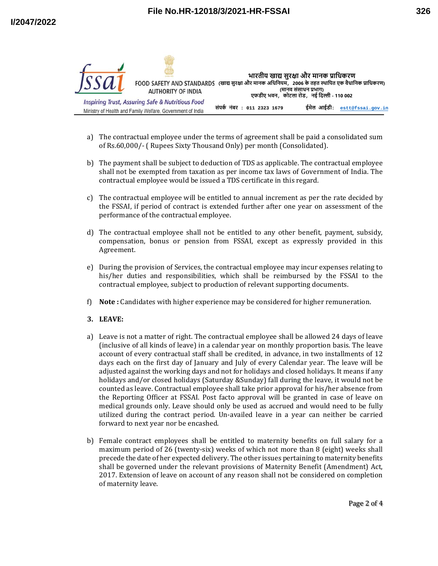

- a) The contractual employee under the terms of agreement shall be paid a consolidated sum of Rs.60,000/- ( Rupees Sixty Thousand Only) per month (Consolidated).
- b) The payment shall be subject to deduction of TDS as applicable. The contractual employee shall not be exempted from taxation as per income tax laws of Government of India. The contractual employee would be issued a TDS certificate in this regard.
- c) The contractual employee will be entitled to annual increment as per the rate decided by the FSSAI, if period of contract is extended further after one year on assessment of the performance of the contractual employee.
- d) The contractual employee shall not be entitled to any other benefit, payment, subsidy, compensation, bonus or pension from FSSAI, except as expressly provided in this Agreement.
- e) During the provision of Services, the contractual employee may incur expenses relating to his/her duties and responsibilities, which shall be reimbursed by the FSSAI to the contractual employee, subject to production of relevant supporting documents.
- f) **Note :** Candidates with higher experience may be considered for higher remuneration.
- **3. LEAVE:**
- a) Leave is not a matter of right. The contractual employee shall be allowed 24 days of leave (inclusive of all kinds of leave) in a calendar year on monthly proportion basis. The leave account of every contractual staff shall be credited, in advance, in two installments of 12 days each on the first day of January and July of every Calendar year. The leave will be adjusted against the working days and not for holidays and closed holidays. It means if any holidays and/or closed holidays (Saturday &Sunday) fall during the leave, it would not be counted as leave. Contractual employee shall take prior approval for his/her absence from the Reporting Officer at FSSAI. Post facto approval will be granted in case of leave on medical grounds only. Leave should only be used as accrued and would need to be fully utilized during the contract period. Un-availed leave in a year can neither be carried forward to next year nor be encashed.
- b) Female contract employees shall be entitled to maternity benefits on full salary for a maximum period of 26 (twenty-six) weeks of which not more than 8 (eight) weeks shall precede the date of her expected delivery. The other issues pertaining to maternity benefits shall be governed under the relevant provisions of Maternity Benefit (Amendment) Act, 2017. Extension of leave on account of any reason shall not be considered on completion of maternity leave.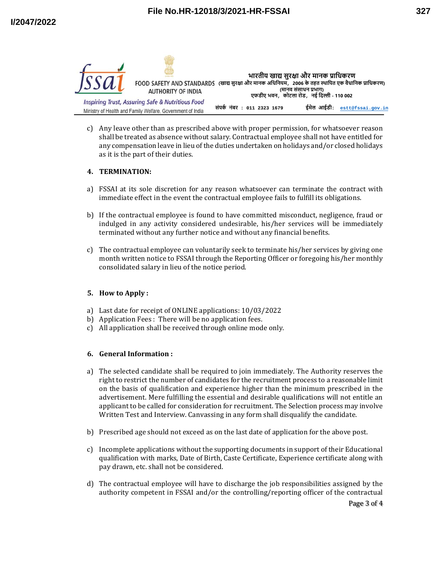

c) Any leave other than as prescribed above with proper permission, for whatsoever reason shall be treated as absence without salary. Contractual employee shall not have entitled for any compensation leave in lieu of the duties undertaken on holidays and/or closed holidays as it is the part of their duties.

# **4. TERMINATION:**

- a) FSSAI at its sole discretion for any reason whatsoever can terminate the contract with immediate effect in the event the contractual employee fails to fulfill its obligations.
- b) If the contractual employee is found to have committed misconduct, negligence, fraud or indulged in any activity considered undesirable, his/her services will be immediately terminated without any further notice and without any financial benefits.
- c) The contractual employee can voluntarily seek to terminate his/her services by giving one month written notice to FSSAI through the Reporting Officer or foregoing his/her monthly consolidated salary in lieu of the notice period.

# **5. How to Apply :**

- a) Last date for receipt of ONLINE applications: 10/03/2022
- b) Application Fees : There will be no application fees.
- c) All application shall be received through online mode only.

### **6. General Information :**

- a) The selected candidate shall be required to join immediately. The Authority reserves the right to restrict the number of candidates for the recruitment process to a reasonable limit on the basis of qualification and experience higher than the minimum prescribed in the advertisement. Mere fulfilling the essential and desirable qualifications will not entitle an applicant to be called for consideration for recruitment. The Selection process may involve Written Test and Interview. Canvassing in any form shall disqualify the candidate.
- b) Prescribed age should not exceed as on the last date of application for the above post.
- c) Incomplete applications without the supporting documents in support of their Educational qualification with marks, Date of Birth, Caste Certificate, Experience certificate along with pay drawn, etc. shall not be considered.
- d) The contractual employee will have to discharge the job responsibilities assigned by the authority competent in FSSAI and/or the controlling/reporting officer of the contractual